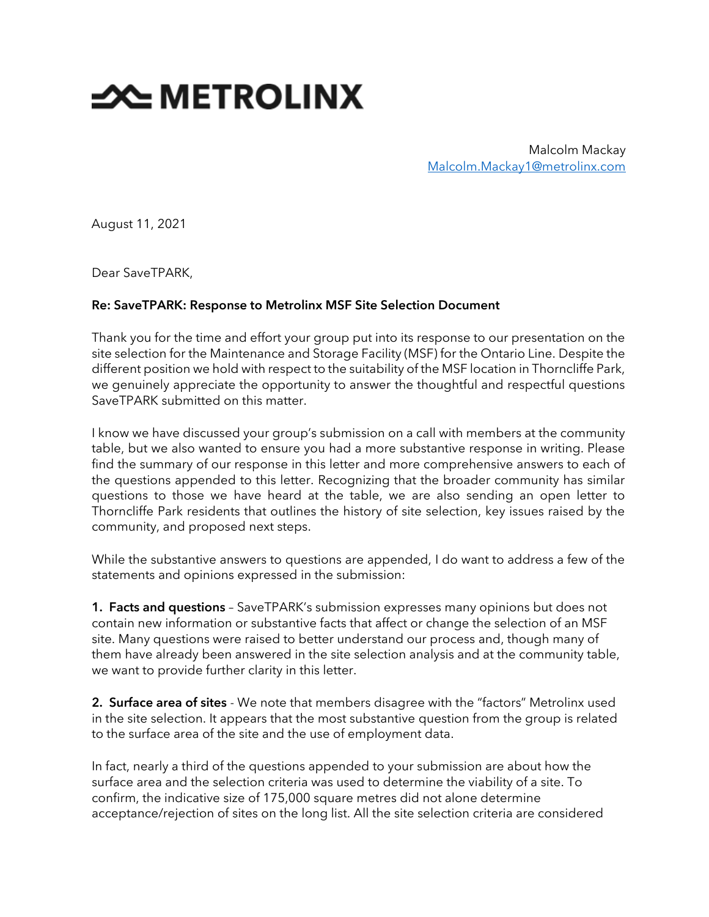## **SOUTHER STATE**

Malcolm Mackay [Malcolm.Mackay1@metrolinx.com](mailto:Malcolm.Mackay1@metrolinx.com)

August 11, 2021

Dear SaveTPARK,

## Re: SaveTPARK: Response to Metrolinx MSF Site Selection Document

Thank you for the time and effort your group put into its response to our presentation on the site selection for the Maintenance and Storage Facility (MSF) for the Ontario Line. Despite the different position we hold with respect to the suitability of the MSF location in Thorncliffe Park, we genuinely appreciate the opportunity to answer the thoughtful and respectful questions SaveTPARK submitted on this matter.

I know we have discussed your group's submission on a call with members at the community table, but we also wanted to ensure you had a more substantive response in writing. Please find the summary of our response in this letter and more comprehensive answers to each of the questions appended to this letter. Recognizing that the broader community has similar questions to those we have heard at the table, we are also sending an open letter to Thorncliffe Park residents that outlines the history of site selection, key issues raised by the community, and proposed next steps.

While the substantive answers to questions are appended, I do want to address a few of the statements and opinions expressed in the submission:

**1. Facts and questions** - SaveTPARK's submission expresses many opinions but does not contain new information or substantive facts that affect or change the selection of an MSF site. Many questions were raised to better understand our process and, though many of them have already been answered in the site selection analysis and at the community table, we want to provide further clarity in this letter.

2. Surface area of sites - We note that members disagree with the "factors" Metrolinx used in the site selection. It appears that the most substantive question from the group is related to the surface area of the site and the use of employment data.

In fact, nearly a third of the questions appended to your submission are about how the surface area and the selection criteria was used to determine the viability of a site. To confirm, the indicative size of 175,000 square metres did not alone determine acceptance/rejection of sites on the long list. All the site selection criteria are considered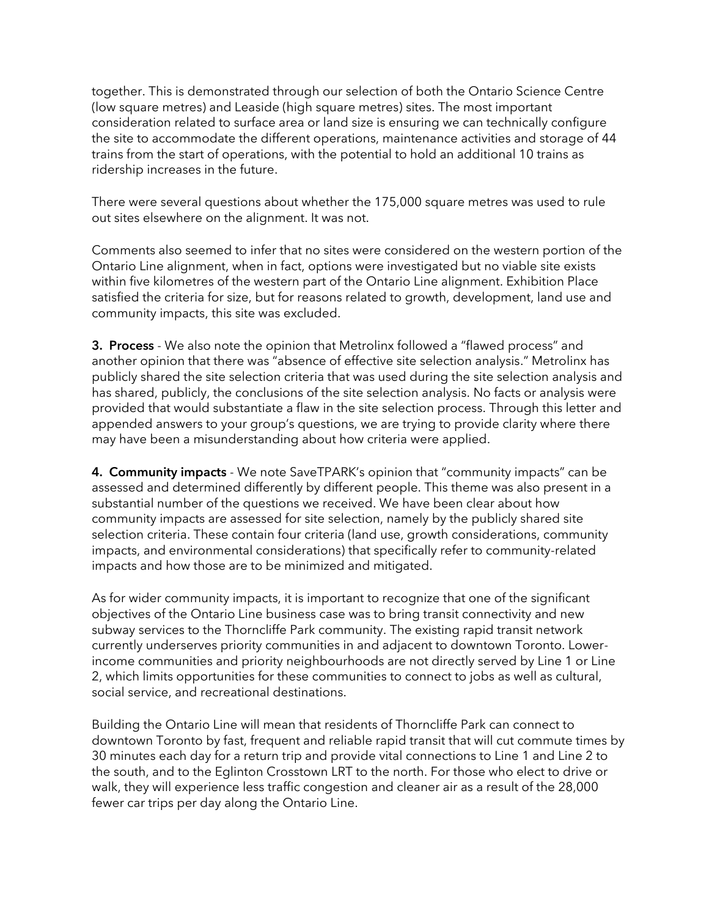together. This is demonstrated through our selection of both the Ontario Science Centre (low square metres) and Leaside (high square metres) sites. The most important consideration related to surface area or land size is ensuring we can technically configure the site to accommodate the different operations, maintenance activities and storage of 44 trains from the start of operations, with the potential to hold an additional 10 trains as ridership increases in the future.

There were several questions about whether the 175,000 square metres was used to rule out sites elsewhere on the alignment. It was not.

Comments also seemed to infer that no sites were considered on the western portion of the Ontario Line alignment, when in fact, options were investigated but no viable site exists within five kilometres of the western part of the Ontario Line alignment. Exhibition Place satisfied the criteria for size, but for reasons related to growth, development, land use and community impacts, this site was excluded.

3. Process - We also note the opinion that Metrolinx followed a "flawed process" and another opinion that there was "absence of effective site selection analysis." Metrolinx has publicly shared the site selection criteria that was used during the site selection analysis and has shared, publicly, the conclusions of the site selection analysis. No facts or analysis were provided that would substantiate a flaw in the site selection process. Through this letter and appended answers to your group's questions, we are trying to provide clarity where there may have been a misunderstanding about how criteria were applied.

4. Community impacts - We note SaveTPARK's opinion that "community impacts" can be assessed and determined differently by different people. This theme was also present in a substantial number of the questions we received. We have been clear about how community impacts are assessed for site selection, namely by the publicly shared site selection criteria. These contain four criteria (land use, growth considerations, community impacts, and environmental considerations) that specifically refer to community-related impacts and how those are to be minimized and mitigated.

As for wider community impacts, it is important to recognize that one of the significant objectives of the Ontario Line business case was to bring transit connectivity and new subway services to the Thorncliffe Park community. The existing rapid transit network currently underserves priority communities in and adjacent to downtown Toronto. Lowerincome communities and priority neighbourhoods are not directly served by Line 1 or Line 2, which limits opportunities for these communities to connect to jobs as well as cultural, social service, and recreational destinations.

Building the Ontario Line will mean that residents of Thorncliffe Park can connect to downtown Toronto by fast, frequent and reliable rapid transit that will cut commute times by 30 minutes each day for a return trip and provide vital connections to Line 1 and Line 2 to the south, and to the Eglinton Crosstown LRT to the north. For those who elect to drive or walk, they will experience less traffic congestion and cleaner air as a result of the 28,000 fewer car trips per day along the Ontario Line.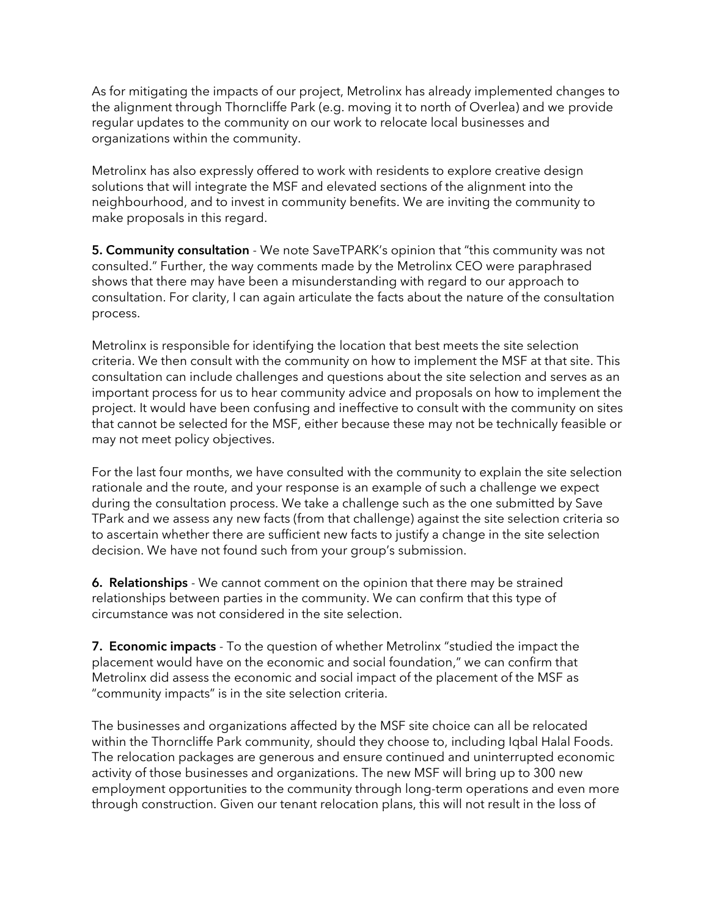As for mitigating the impacts of our project, Metrolinx has already implemented changes to the alignment through Thorncliffe Park (e.g. moving it to north of Overlea) and we provide regular updates to the community on our work to relocate local businesses and organizations within the community.

Metrolinx has also expressly offered to work with residents to explore creative design solutions that will integrate the MSF and elevated sections of the alignment into the neighbourhood, and to invest in community benefits. We are inviting the community to make proposals in this regard.

5. Community consultation - We note SaveTPARK's opinion that "this community was not consulted." Further, the way comments made by the Metrolinx CEO were paraphrased shows that there may have been a misunderstanding with regard to our approach to consultation. For clarity, I can again articulate the facts about the nature of the consultation process.

Metrolinx is responsible for identifying the location that best meets the site selection criteria. We then consult with the community on how to implement the MSF at that site. This consultation can include challenges and questions about the site selection and serves as an important process for us to hear community advice and proposals on how to implement the project. It would have been confusing and ineffective to consult with the community on sites that cannot be selected for the MSF, either because these may not be technically feasible or may not meet policy objectives.

For the last four months, we have consulted with the community to explain the site selection rationale and the route, and your response is an example of such a challenge we expect during the consultation process. We take a challenge such as the one submitted by Save TPark and we assess any new facts (from that challenge) against the site selection criteria so to ascertain whether there are sufficient new facts to justify a change in the site selection decision. We have not found such from your group's submission.

6. Relationships - We cannot comment on the opinion that there may be strained relationships between parties in the community. We can confirm that this type of circumstance was not considered in the site selection.

7. Economic impacts - To the question of whether Metrolinx "studied the impact the placement would have on the economic and social foundation," we can confirm that Metrolinx did assess the economic and social impact of the placement of the MSF as "community impacts" is in the site selection criteria.

The businesses and organizations affected by the MSF site choice can all be relocated within the Thorncliffe Park community, should they choose to, including Iqbal Halal Foods. The relocation packages are generous and ensure continued and uninterrupted economic activity of those businesses and organizations. The new MSF will bring up to 300 new employment opportunities to the community through long-term operations and even more through construction. Given our tenant relocation plans, this will not result in the loss of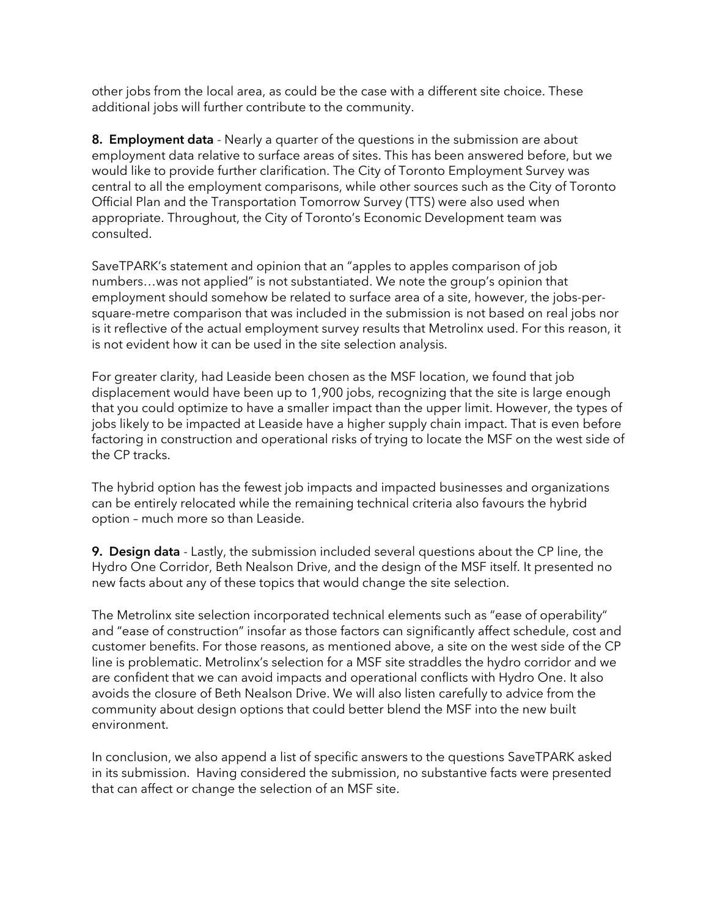other jobs from the local area, as could be the case with a different site choice. These additional jobs will further contribute to the community.

8. Employment data - Nearly a quarter of the questions in the submission are about employment data relative to surface areas of sites. This has been answered before, but we would like to provide further clarification. The City of Toronto Employment Survey was central to all the employment comparisons, while other sources such as the City of Toronto Official Plan and the Transportation Tomorrow Survey (TTS) were also used when appropriate. Throughout, the City of Toronto's Economic Development team was consulted.

SaveTPARK's statement and opinion that an "apples to apples comparison of job numbers…was not applied" is not substantiated. We note the group's opinion that employment should somehow be related to surface area of a site, however, the jobs-persquare-metre comparison that was included in the submission is not based on real jobs nor is it reflective of the actual employment survey results that Metrolinx used. For this reason, it is not evident how it can be used in the site selection analysis.

For greater clarity, had Leaside been chosen as the MSF location, we found that job displacement would have been up to 1,900 jobs, recognizing that the site is large enough that you could optimize to have a smaller impact than the upper limit. However, the types of jobs likely to be impacted at Leaside have a higher supply chain impact. That is even before factoring in construction and operational risks of trying to locate the MSF on the west side of the CP tracks.

The hybrid option has the fewest job impacts and impacted businesses and organizations can be entirely relocated while the remaining technical criteria also favours the hybrid option – much more so than Leaside.

**9. Design data** - Lastly, the submission included several questions about the CP line, the Hydro One Corridor, Beth Nealson Drive, and the design of the MSF itself. It presented no new facts about any of these topics that would change the site selection.

The Metrolinx site selection incorporated technical elements such as "ease of operability" and "ease of construction" insofar as those factors can significantly affect schedule, cost and customer benefits. For those reasons, as mentioned above, a site on the west side of the CP line is problematic. Metrolinx's selection for a MSF site straddles the hydro corridor and we are confident that we can avoid impacts and operational conflicts with Hydro One. It also avoids the closure of Beth Nealson Drive. We will also listen carefully to advice from the community about design options that could better blend the MSF into the new built environment.

In conclusion, we also append a list of specific answers to the questions SaveTPARK asked in its submission. Having considered the submission, no substantive facts were presented that can affect or change the selection of an MSF site.